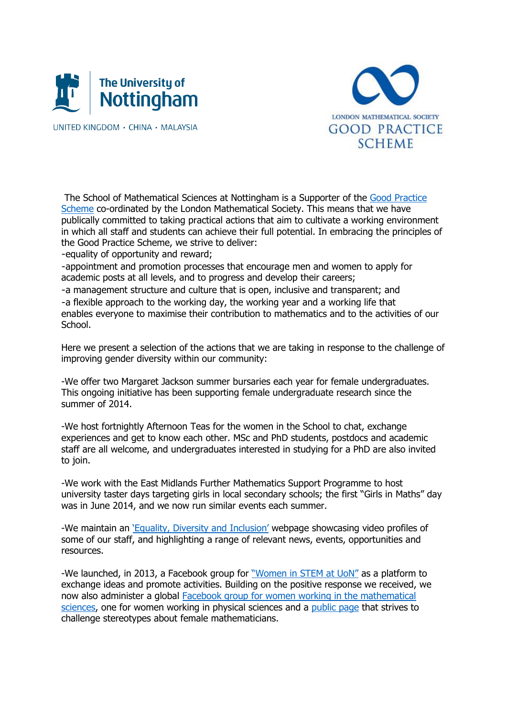



UNITED KINGDOM · CHINA · MALAYSIA

The School of Mathematical Sciences at Nottingham is a Supporter of the [Good Practice](https://www.lms.ac.uk/women/good-practice-scheme)  [Scheme](https://www.lms.ac.uk/women/good-practice-scheme) co-ordinated by the London Mathematical Society. This means that we have publically committed to taking practical actions that aim to cultivate a working environment in which all staff and students can achieve their full potential. In embracing the principles of the Good Practice Scheme, we strive to deliver:

-equality of opportunity and reward;

-appointment and promotion processes that encourage men and women to apply for academic posts at all levels, and to progress and develop their careers;

-a management structure and culture that is open, inclusive and transparent; and -a flexible approach to the working day, the working year and a working life that enables everyone to maximise their contribution to mathematics and to the activities of our School.

Here we present a selection of the actions that we are taking in response to the challenge of improving gender diversity within our community:

-We offer two Margaret Jackson summer bursaries each year for female undergraduates. This ongoing initiative has been supporting female undergraduate research since the summer of 2014.

-We host fortnightly Afternoon Teas for the women in the School to chat, exchange experiences and get to know each other. MSc and PhD students, postdocs and academic staff are all welcome, and undergraduates interested in studying for a PhD are also invited to join.

-We work with the East Midlands Further Mathematics Support Programme to host university taster days targeting girls in local secondary schools; the first "Girls in Maths" day was in June 2014, and we now run similar events each summer.

-We maintain an ['Equality, Diversity and Inclusion'](https://www.nottingham.ac.uk/engineering/equality-diversity-and-inclusion/equality-diversity-and-inclusion.aspx) webpage showcasing video profiles of some of our staff, and highlighting a range of relevant news, events, opportunities and resources.

-We launched, in 2013, a Facebook group for ["Women in STEM at UoN"](https://www.facebook.com/login/?next=https%3A%2F%2Fwww.facebook.com%2Fgroups%2F168653679998517%2F) as a platform to exchange ideas and promote activities. Building on the positive response we received, we now also administer a global [Facebook group for women working in the mathematical](https://www.facebook.com/groups/womeninmaths/) [sciences,](https://www.facebook.com/groups/womeninmaths/) one for women working in physical sciences and a [public page](https://www.facebook.com/womeninmaths) that strives to challenge stereotypes about female mathematicians.